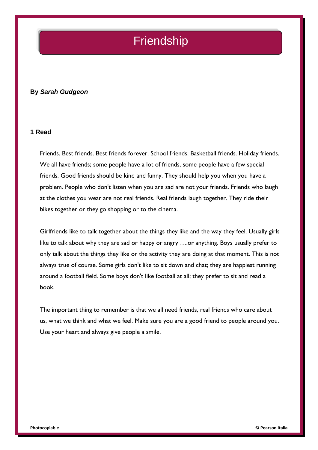# **Friendship**

#### **By** *Sarah Gudgeon*

#### **1 Read**

Friends. Best friends. Best friends forever. School friends. Basketball friends. Holiday friends. We all have friends; some people have a lot of friends, some people have a few special friends. Good friends should be kind and funny. They should help you when you have a problem. People who don't listen when you are sad are not your friends. Friends who laugh at the clothes you wear are not real friends. Real friends laugh together. They ride their bikes together or they go shopping or to the cinema.

Girlfriends like to talk together about the things they like and the way they feel. Usually girls like to talk about why they are sad or happy or angry ....or anything. Boys usually prefer to only talk about the things they like or the activity they are doing at that moment. This is not always true of course. Some girls don't like to sit down and chat; they are happiest running around a football field. Some boys don't like football at all; they prefer to sit and read a book.

The important thing to remember is that we all need friends, real friends who care about us, what we think and what we feel. Make sure you are a good friend to people around you. Use your heart and always give people a smile.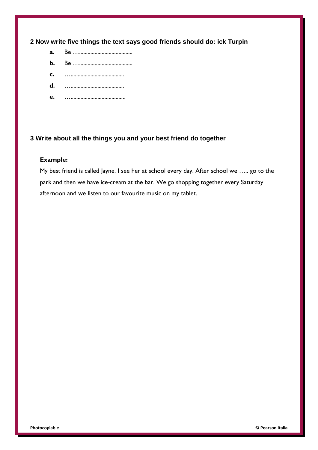2 Now write five things the text says good friends should do: ick Turpin

a.  $\mathbf{b}$ .  $\mathbf{c}$ . d. e. 

### 3 Write about all the things you and your best friend do together

#### **Example:**

My best friend is called Jayne. I see her at school every day. After school we ..... go to the park and then we have ice-cream at the bar. We go shopping together every Saturday afternoon and we listen to our favourite music on my tablet.